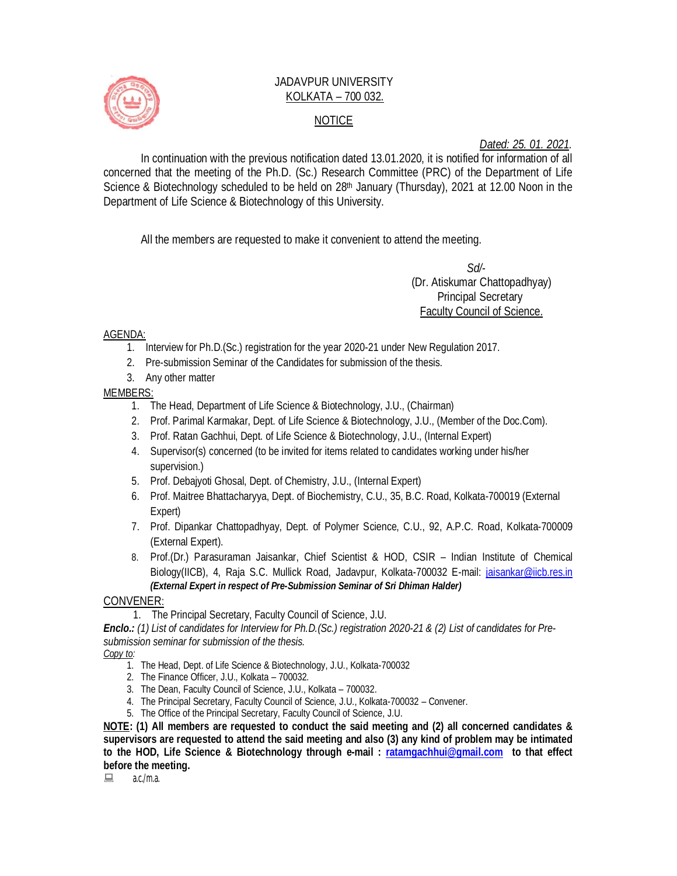

## JADAVPUR UNIVERSITY KOLKATA – 700 032. NOTICE

*Dated: 25. 01. 2021.*

In continuation with the previous notification dated 13.01.2020, it is notified for information of all concerned that the meeting of the Ph.D. (Sc.) Research Committee (PRC) of the Department of Life Science & Biotechnology scheduled to be held on  $28<sup>th</sup>$  January (Thursday), 2021 at 12.00 Noon in the Department of Life Science & Biotechnology of this University.

All the members are requested to make it convenient to attend the meeting.

 *Sd/-*  (Dr. Atiskumar Chattopadhyay) Principal Secretary Faculty Council of Science.

AGENDA:

- 1. Interview for Ph.D.(Sc.) registration for the year 2020-21 under New Regulation 2017.
- 2. Pre-submission Seminar of the Candidates for submission of the thesis.
- 3. Any other matter

MEMBERS:

- 1. The Head, Department of Life Science & Biotechnology, J.U., (Chairman)
- 2. Prof. Parimal Karmakar, Dept. of Life Science & Biotechnology, J.U., (Member of the Doc.Com).
- 3. Prof. Ratan Gachhui, Dept. of Life Science & Biotechnology, J.U., (Internal Expert)
- 4. Supervisor(s) concerned (to be invited for items related to candidates working under his/her supervision.)
- 5. Prof. Debajyoti Ghosal, Dept. of Chemistry, J.U., (Internal Expert)
- 6. Prof. Maitree Bhattacharyya, Dept. of Biochemistry, C.U., 35, B.C. Road, Kolkata-700019 (External Expert)
- 7. Prof. Dipankar Chattopadhyay, Dept. of Polymer Science, C.U., 92, A.P.C. Road, Kolkata-700009 (External Expert).
- 8. Prof.(Dr.) Parasuraman Jaisankar, Chief Scientist & HOD, CSIR Indian Institute of Chemical Biology(IICB), 4, Raja S.C. Mullick Road, Jadavpur, Kolkata-700032 E-mail: jaisankar@iicb.res.in *(External Expert in respect of Pre-Submission Seminar of Sri Dhiman Halder)*

CONVENER:

1. The Principal Secretary, Faculty Council of Science, J.U.

*Enclo.: (1) List of candidates for Interview for Ph.D.(Sc.) registration 2020-21 & (2) List of candidates for Presubmission seminar for submission of the thesis.*

*Copy to:* 

- 1. The Head, Dept. of Life Science & Biotechnology, J.U., Kolkata-700032
- 2. The Finance Officer, J.U., Kolkata 700032.
- 3. The Dean, Faculty Council of Science, J.U., Kolkata 700032.
- 4. The Principal Secretary, Faculty Council of Science, J.U., Kolkata-700032 Convener.
- 5. The Office of the Principal Secretary, Faculty Council of Science, J.U.

**NOTE: (1) All members are requested to conduct the said meeting and (2) all concerned candidates & supervisors are requested to attend the said meeting and also (3) any kind of problem may be intimated to the HOD, Life Science & Biotechnology through e-mail : ratamgachhui@gmail.com to that effect before the meeting.**

 $a.c./m.a.$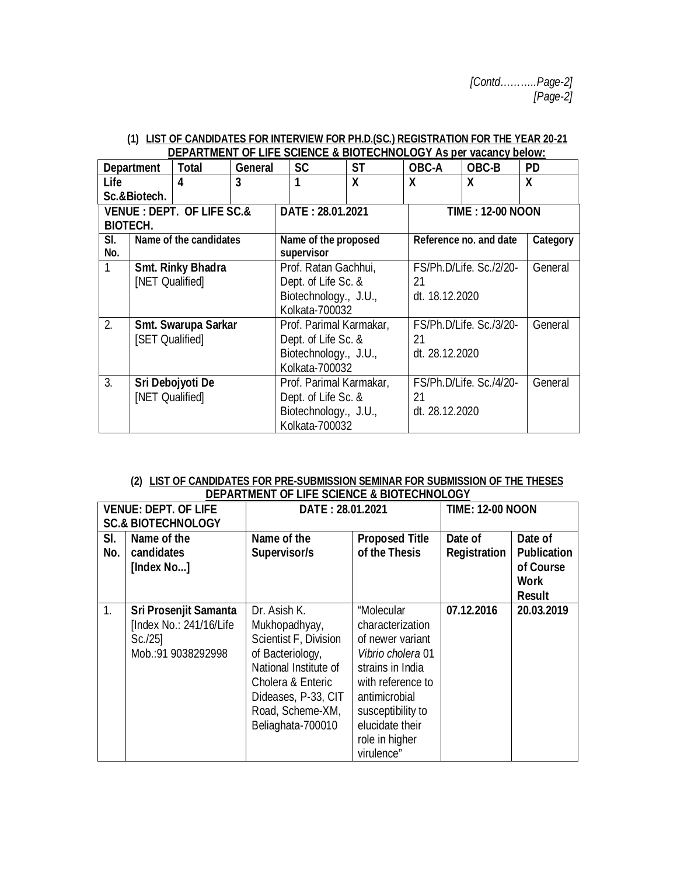|              | DEFARTIVIENT OF EILE SUILIVUE & DIUTEUIINUEUUT AS DUI VAUAIIUY DUIVW. |                                      |                       |                         |                |                           |                         |                  |  |
|--------------|-----------------------------------------------------------------------|--------------------------------------|-----------------------|-------------------------|----------------|---------------------------|-------------------------|------------------|--|
|              | <b>Department</b>                                                     | <b>Total</b>                         | <b>General</b>        | <b>SC</b>               | <b>ST</b>      | <b>OBC-A</b>              | OBC-B                   | <b>PD</b>        |  |
| <b>Life</b>  |                                                                       | 4                                    | 3                     |                         | X              | $\boldsymbol{\mathsf{x}}$ | X                       | $\boldsymbol{X}$ |  |
|              | Sc.&Biotech.                                                          |                                      |                       |                         |                |                           |                         |                  |  |
|              |                                                                       | <b>VENUE: DEPT. OF LIFE SC.&amp;</b> |                       | DATE: 28.01.2021        |                |                           | <b>TIME: 12-00 NOON</b> |                  |  |
|              | <b>BIOTECH.</b>                                                       |                                      |                       |                         |                |                           |                         |                  |  |
| SI.          |                                                                       | Name of the candidates               |                       | Name of the proposed    |                |                           | Reference no. and date  |                  |  |
| No.          |                                                                       |                                      |                       | supervisor              |                |                           |                         |                  |  |
| $\mathbf{1}$ |                                                                       | <b>Smt. Rinky Bhadra</b>             |                       | Prof. Ratan Gachhui,    |                |                           | FS/Ph.D/Life. Sc./2/20- |                  |  |
|              | [NET Qualified]                                                       |                                      |                       | Dept. of Life Sc. &     |                | 21                        |                         |                  |  |
|              |                                                                       |                                      | Biotechnology., J.U., |                         |                | dt. 18.12.2020            |                         |                  |  |
|              |                                                                       |                                      | Kolkata-700032        |                         |                |                           |                         |                  |  |
| 2.           |                                                                       | Smt. Swarupa Sarkar                  |                       | Prof. Parimal Karmakar, |                |                           | FS/Ph.D/Life. Sc./3/20- | General          |  |
|              | [SET Qualified]                                                       |                                      |                       | Dept. of Life Sc. &     |                | 21                        |                         |                  |  |
|              |                                                                       |                                      |                       | Biotechnology., J.U.,   |                |                           | dt. 28.12.2020          |                  |  |
|              |                                                                       |                                      | Kolkata-700032        |                         |                |                           |                         |                  |  |
| 3.           | Sri Debojyoti De                                                      |                                      |                       | Prof. Parimal Karmakar, |                |                           | FS/Ph.D/Life. Sc./4/20- | General          |  |
|              | [NET Qualified]                                                       |                                      |                       | Dept. of Life Sc. &     |                | 21                        |                         |                  |  |
|              |                                                                       |                                      | Biotechnology., J.U., |                         | dt. 28.12.2020 |                           |                         |                  |  |
|              |                                                                       |                                      |                       | Kolkata-700032          |                |                           |                         |                  |  |

## **(1) LIST OF CANDIDATES FOR INTERVIEW FOR PH.D.(SC.) REGISTRATION FOR THE YEAR 20-21 DEPARTMENT OF LIFE SCIENCE & BIOTECHNOLOGY As per vacancy below:**

| (2) LIST OF CANDIDATES FOR PRE-SUBMISSION SEMINAR FOR SUBMISSION OF THE THESES |
|--------------------------------------------------------------------------------|
| <b>DEPARTMENT OF LIFE SCIENCE &amp; BIOTECHNOLOGY</b>                          |

|                               | <b>VENUE: DEPT. OF LIFE</b>                                                           | DATE: 28.01.2021                                                                                                                                                                         |                                                                                                                                                                                                           | <b>TIME: 12-00 NOON</b> |                                                                            |
|-------------------------------|---------------------------------------------------------------------------------------|------------------------------------------------------------------------------------------------------------------------------------------------------------------------------------------|-----------------------------------------------------------------------------------------------------------------------------------------------------------------------------------------------------------|-------------------------|----------------------------------------------------------------------------|
| <b>SC.&amp; BIOTECHNOLOGY</b> |                                                                                       |                                                                                                                                                                                          |                                                                                                                                                                                                           |                         |                                                                            |
| SI.<br>No.                    | Name of the<br>candidates<br>[Index No]                                               | Name of the<br>Supervisor/s                                                                                                                                                              | <b>Proposed Title</b><br>of the Thesis                                                                                                                                                                    | Date of<br>Registration | Date of<br><b>Publication</b><br>of Course<br><b>Work</b><br><b>Result</b> |
| 1.                            | Sri Prosenjit Samanta<br>[Index No.: 241/16/Life]<br>$Sc.$ /25]<br>Mob.:91 9038292998 | Dr. Asish K.<br>Mukhopadhyay,<br>Scientist F, Division<br>of Bacteriology,<br>National Institute of<br>Cholera & Enteric<br>Dideases, P-33, CIT<br>Road, Scheme-XM,<br>Beliaghata-700010 | "Molecular<br>characterization<br>of newer variant<br>Vibrio cholera 01<br>strains in India<br>with reference to<br>antimicrobial<br>susceptibility to<br>elucidate their<br>role in higher<br>virulence" | 07.12.2016              | 20.03.2019                                                                 |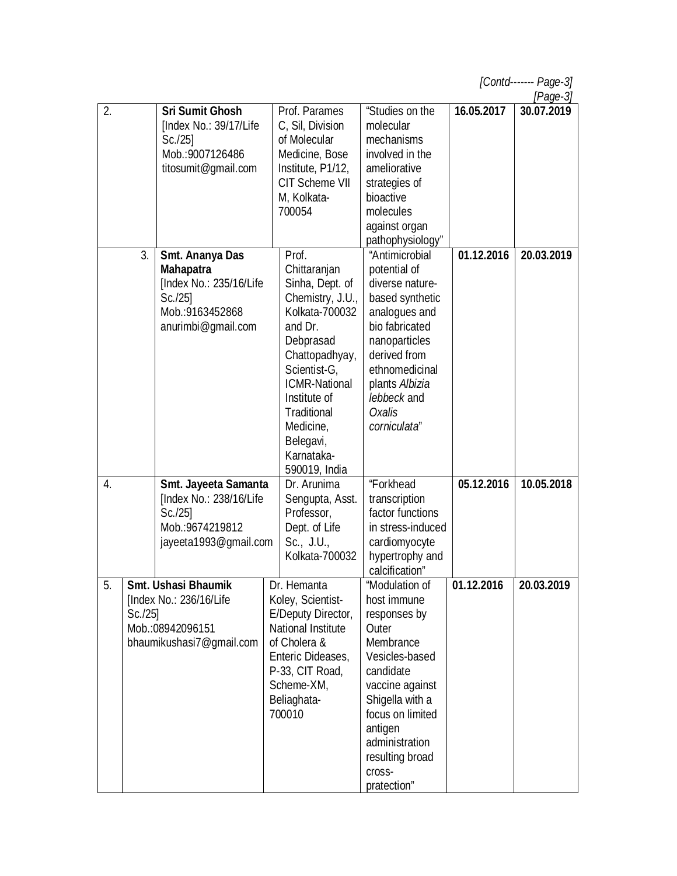|                                                                                                                          |                                                                                                                             |                                                                                                                                                                             |                                                                                                                                                                                                                                                          |                                                                                                                                                                                                                                                  |            | [ $Page-3$ ] |
|--------------------------------------------------------------------------------------------------------------------------|-----------------------------------------------------------------------------------------------------------------------------|-----------------------------------------------------------------------------------------------------------------------------------------------------------------------------|----------------------------------------------------------------------------------------------------------------------------------------------------------------------------------------------------------------------------------------------------------|--------------------------------------------------------------------------------------------------------------------------------------------------------------------------------------------------------------------------------------------------|------------|--------------|
| 2.                                                                                                                       |                                                                                                                             | <b>Sri Sumit Ghosh</b><br>[Index No.: 39/17/Life<br>$Sc.$ /25]<br>Mob.:9007126486<br>titosumit@gmail.com                                                                    | Prof. Parames<br>C, Sil, Division<br>of Molecular<br>Medicine, Bose<br>Institute, P1/12,<br><b>CIT Scheme VII</b><br>M, Kolkata-<br>700054                                                                                                               | "Studies on the<br>molecular<br>mechanisms<br>involved in the<br>ameliorative<br>strategies of<br>bioactive<br>molecules<br>against organ                                                                                                        | 16.05.2017 | 30.07.2019   |
|                                                                                                                          | 3.<br>Smt. Ananya Das<br><b>Mahapatra</b><br>[Index No.: 235/16/Life<br>$Sc.$ /25]<br>Mob.:9163452868<br>anurimbi@gmail.com |                                                                                                                                                                             | Prof.<br>Chittaranjan<br>Sinha, Dept. of<br>Chemistry, J.U.,<br>Kolkata-700032<br>and Dr.<br>Debprasad<br>Chattopadhyay,<br>Scientist-G,<br><b>ICMR-National</b><br>Institute of<br>Traditional<br>Medicine,<br>Belegavi,<br>Karnataka-<br>590019, India | pathophysiology"<br>"Antimicrobial<br>potential of<br>diverse nature-<br>based synthetic<br>analogues and<br>bio fabricated<br>nanoparticles<br>derived from<br>ethnomedicinal<br>plants Albizia<br>lebbeck and<br><b>Oxalis</b><br>corniculata" | 01.12.2016 | 20.03.2019   |
| $\overline{4}$ .                                                                                                         |                                                                                                                             | Smt. Jayeeta Samanta<br>[Index No.: 238/16/Life<br>$Sc.$ /25]<br>Mob.:9674219812<br>jayeeta1993@qmail.com                                                                   | Dr. Arunima<br>Sengupta, Asst.<br>Professor,<br>Dept. of Life<br>Sc., J.U.,<br>Kolkata-700032                                                                                                                                                            | "Forkhead<br>transcription<br>factor functions<br>in stress-induced<br>cardiomyocyte<br>hypertrophy and<br>calcification"                                                                                                                        | 05.12.2016 | 10.05.2018   |
| <b>Smt. Ushasi Bhaumik</b><br>5<br>[Index No.: 236/16/Life<br>$Sc.$ /25]<br>Mob.:08942096151<br>bhaumikushasi7@gmail.com |                                                                                                                             | Dr. Hemanta<br>Koley, Scientist-<br>E/Deputy Director,<br>National Institute<br>of Cholera &<br>Enteric Dideases,<br>P-33, CIT Road,<br>Scheme-XM,<br>Beliaghata-<br>700010 | "Modulation of<br>host immune<br>responses by<br>Outer<br>Membrance<br>Vesicles-based<br>candidate<br>vaccine against<br>Shigella with a<br>focus on limited<br>antigen<br>administration<br>resulting broad<br>cross-<br>pratection"                    | 01.12.2016                                                                                                                                                                                                                                       | 20.03.2019 |              |

*[Contd------- Page-3]*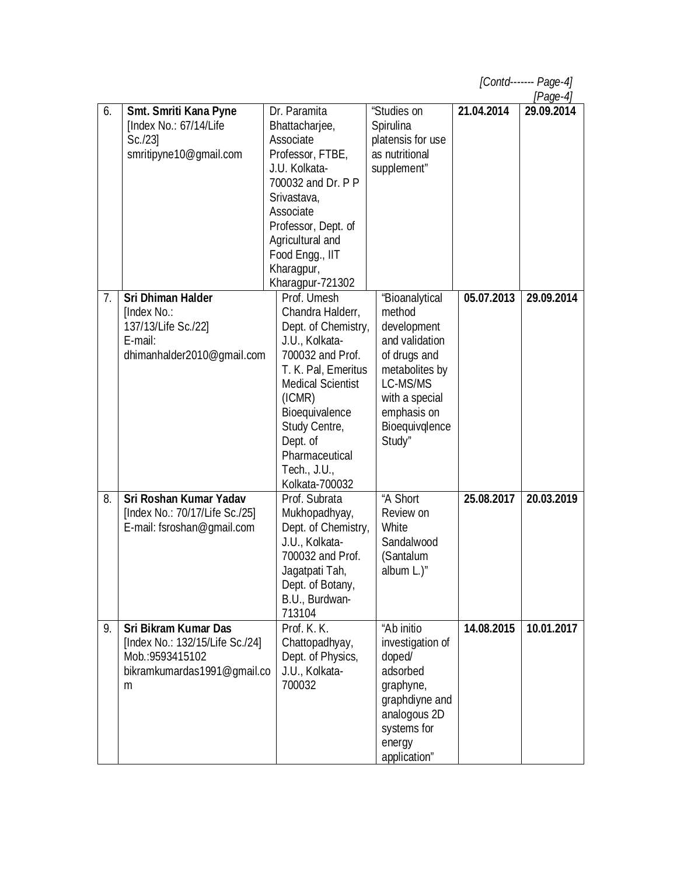*[Contd------- Page-4]*

|  | IDano Al |  |
|--|----------|--|

| 6. | Smt. Smriti Kana Pyne           | Dr. Paramita             | "Studies on       | 21.04.2014 | $\mu$ ago $\mu$<br>29.09.2014 |
|----|---------------------------------|--------------------------|-------------------|------------|-------------------------------|
|    | [Index No.: 67/14/Life          | Bhattacharjee,           | Spirulina         |            |                               |
|    | $Sc.$ /23]                      | Associate                | platensis for use |            |                               |
|    | smritipyne10@gmail.com          | Professor, FTBE,         | as nutritional    |            |                               |
|    |                                 | J.U. Kolkata-            |                   |            |                               |
|    |                                 |                          | supplement"       |            |                               |
|    |                                 | 700032 and Dr. P P       |                   |            |                               |
|    |                                 | Srivastava,              |                   |            |                               |
|    |                                 | Associate                |                   |            |                               |
|    |                                 | Professor, Dept. of      |                   |            |                               |
|    |                                 | Agricultural and         |                   |            |                               |
|    |                                 | Food Engg., IIT          |                   |            |                               |
|    |                                 | Kharagpur,               |                   |            |                               |
|    |                                 | Kharagpur-721302         |                   |            |                               |
| 7. | <b>Sri Dhiman Halder</b>        | Prof. Umesh              | "Bioanalytical    | 05.07.2013 | 29.09.2014                    |
|    | [Index No.:                     | Chandra Halderr,         | method            |            |                               |
|    | 137/13/Life Sc./22]             | Dept. of Chemistry,      | development       |            |                               |
|    | E-mail:                         | J.U., Kolkata-           | and validation    |            |                               |
|    | dhimanhalder2010@gmail.com      | 700032 and Prof.         | of drugs and      |            |                               |
|    |                                 | T. K. Pal, Emeritus      | metabolites by    |            |                               |
|    |                                 | <b>Medical Scientist</b> | LC-MS/MS          |            |                               |
|    |                                 | (ICMR)                   | with a special    |            |                               |
|    |                                 | Bioequivalence           | emphasis on       |            |                               |
|    |                                 | Study Centre,            | Bioequivglence    |            |                               |
|    |                                 | Dept. of                 | Study"            |            |                               |
|    |                                 | Pharmaceutical           |                   |            |                               |
|    |                                 | Tech., J.U.,             |                   |            |                               |
|    |                                 | Kolkata-700032           |                   |            |                               |
| 8. | Sri Roshan Kumar Yadav          | Prof. Subrata            | "A Short          | 25.08.2017 | 20.03.2019                    |
|    | [Index No.: 70/17/Life Sc./25]  | Mukhopadhyay,            | Review on         |            |                               |
|    | E-mail: fsroshan@gmail.com      | Dept. of Chemistry,      | White             |            |                               |
|    |                                 | J.U., Kolkata-           | Sandalwood        |            |                               |
|    |                                 | 700032 and Prof.         | (Santalum         |            |                               |
|    |                                 | Jagatpati Tah,           | album L.)"        |            |                               |
|    |                                 | Dept. of Botany,         |                   |            |                               |
|    |                                 | B.U., Burdwan-           |                   |            |                               |
|    |                                 | 713104                   |                   |            |                               |
| 9. | <b>Sri Bikram Kumar Das</b>     | Prof. K. K.              | "Ab initio        | 14.08.2015 | 10.01.2017                    |
|    | [Index No.: 132/15/Life Sc./24] | Chattopadhyay,           | investigation of  |            |                               |
|    | Mob.: 9593415102                | Dept. of Physics,        | doped/            |            |                               |
|    | bikramkumardas1991@gmail.co     | J.U., Kolkata-           | adsorbed          |            |                               |
|    | m                               | 700032                   | graphyne,         |            |                               |
|    |                                 |                          | graphdiyne and    |            |                               |
|    |                                 |                          | analogous 2D      |            |                               |
|    |                                 |                          | systems for       |            |                               |
|    |                                 |                          | energy            |            |                               |
|    |                                 |                          | application"      |            |                               |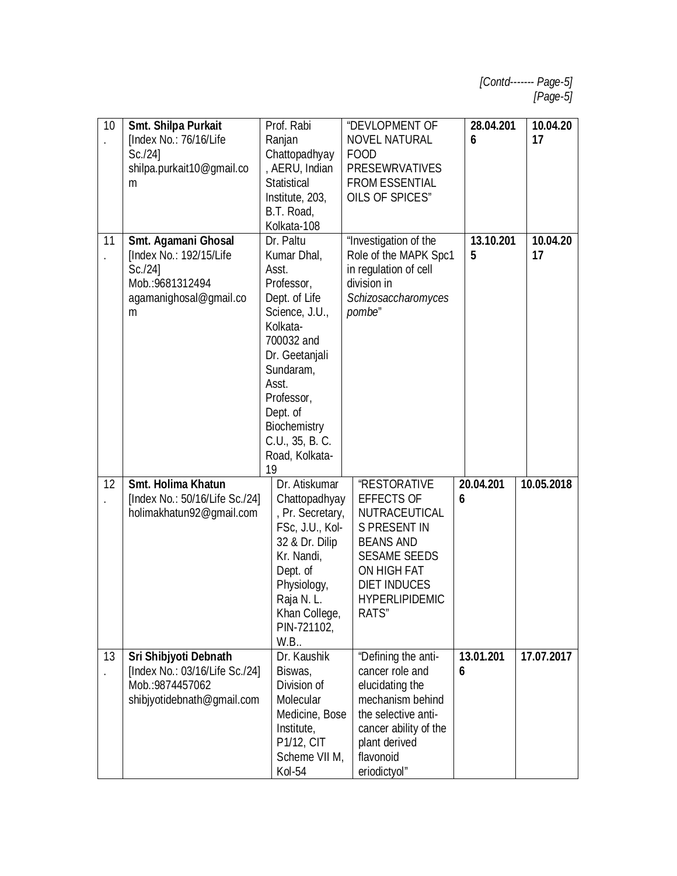| 10                         | Smt. Shilpa Purkait<br>[Index No.: 76/16/Life<br>Sc.124<br>shilpa.purkait10@gmail.co<br>m                   | Prof. Rabi<br>Ranjan<br>Chattopadhyay<br>, AERU, Indian<br><b>Statistical</b><br>Institute, 203,                                                                                     | "DEVLOPMENT OF<br><b>NOVEL NATURAL</b><br><b>FOOD</b><br><b>PRESEWRVATIVES</b><br><b>FROM ESSENTIAL</b><br>OILS OF SPICES"                                                                          | 28.04.201<br>6 | 10.04.20<br>17 |
|----------------------------|-------------------------------------------------------------------------------------------------------------|--------------------------------------------------------------------------------------------------------------------------------------------------------------------------------------|-----------------------------------------------------------------------------------------------------------------------------------------------------------------------------------------------------|----------------|----------------|
| 11<br>$\ddot{\phantom{0}}$ | Smt. Agamani Ghosal<br>[Index No.: 192/15/Life<br>Sc.124<br>Mob.: 9681312494<br>agamanighosal@gmail.co<br>m | B.T. Road,<br>Kolkata-108<br>Dr. Paltu<br>Kumar Dhal,<br>Asst.<br>Professor,<br>Dept. of Life<br>Science, J.U.,<br>Kolkata-<br>700032 and                                            | "Investigation of the<br>Role of the MAPK Spc1<br>in regulation of cell<br>division in<br>Schizosaccharomyces<br>pombe"                                                                             | 13.10.201<br>5 | 10.04.20<br>17 |
|                            |                                                                                                             | Dr. Geetanjali<br>Sundaram,<br>Asst.<br>Professor,<br>Dept. of<br>Biochemistry<br>C.U., 35, B.C.<br>Road, Kolkata-<br>19                                                             |                                                                                                                                                                                                     |                |                |
| 12                         | Smt. Holima Khatun<br>[Index No.: 50/16/Life Sc./24]<br>holimakhatun92@gmail.com                            | Dr. Atiskumar<br>Chattopadhyay<br>, Pr. Secretary,<br>FSc, J.U., Kol-<br>32 & Dr. Dilip<br>Kr. Nandi,<br>Dept. of<br>Physiology,<br>Raja N.L.<br>Khan College,<br>PIN-721102,<br>W.B | <b>"RESTORATIVE</b><br><b>EFFECTS OF</b><br>NUTRACEUTICAL<br><b>S PRESENT IN</b><br><b>BEANS AND</b><br><b>SESAME SEEDS</b><br>ON HIGH FAT<br><b>DIET INDUCES</b><br><b>HYPERLIPIDEMIC</b><br>RATS" | 20.04.201<br>6 | 10.05.2018     |
| 13                         | Sri Shibjyoti Debnath<br>[Index No.: 03/16/Life Sc./24]<br>Mob.:9874457062<br>shibjyotidebnath@gmail.com    | Dr. Kaushik<br>Biswas,<br>Division of<br>Molecular<br>Medicine, Bose<br>Institute,<br>P1/12, CIT<br>Scheme VII M,<br>Kol-54                                                          | "Defining the anti-<br>cancer role and<br>elucidating the<br>mechanism behind<br>the selective anti-<br>cancer ability of the<br>plant derived<br>flavonoid<br>eriodictyol"                         | 13.01.201<br>6 | 17.07.2017     |